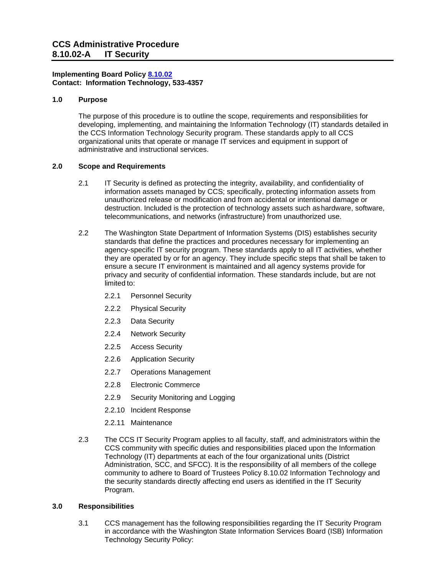### **Implementing Board Policy [8.10.02](https://ccs.spokane.edu/About-Us/Leadership/Board-of-Trustees/Policies-Procedures/Chapter8) Contact: Information Technology, 533-4357**

#### **1.0 Purpose**

The purpose of this procedure is to outline the scope, requirements and responsibilities for developing, implementing, and maintaining the Information Technology (IT) standards detailed in the CCS Information Technology Security program. These standards apply to all CCS organizational units that operate or manage IT services and equipment in support of administrative and instructional services.

## **2.0 Scope and Requirements**

- 2.1 IT Security is defined as protecting the integrity, availability, and confidentiality of information assets managed by CCS; specifically, protecting information assets from unauthorized release or modification and from accidental or intentional damage or destruction. Included is the protection of technology assets such ashardware, software, telecommunications, and networks (infrastructure) from unauthorized use.
- 2.2 The Washington State Department of Information Systems (DIS) establishes security standards that define the practices and procedures necessary for implementing an agency-specific IT security program. These standards apply to all IT activities, whether they are operated by or for an agency. They include specific steps that shall be taken to ensure a secure IT environment is maintained and all agency systems provide for privacy and security of confidential information. These standards include, but are not limited to:
	- 2.2.1 Personnel Security
	- 2.2.2 Physical Security
	- 2.2.3 Data Security
	- 2.2.4 Network Security
	- 2.2.5 Access Security
	- 2.2.6 Application Security
	- 2.2.7 Operations Management
	- 2.2.8 Electronic Commerce
	- 2.2.9 Security Monitoring and Logging
	- 2.2.10 Incident Response
	- 2.2.11 Maintenance
- 2.3 The CCS IT Security Program applies to all faculty, staff, and administrators within the CCS community with specific duties and responsibilities placed upon the Information Technology (IT) departments at each of the four organizational units (District Administration, SCC, and SFCC). It is the responsibility of all members of the college community to adhere to Board of Trustees Policy 8.10.02 Information Technology and the security standards directly affecting end users as identified in the IT Security Program.

#### **3.0 Responsibilities**

3.1 CCS management has the following responsibilities regarding the IT Security Program in accordance with the Washington State Information Services Board (ISB) Information Technology Security Policy: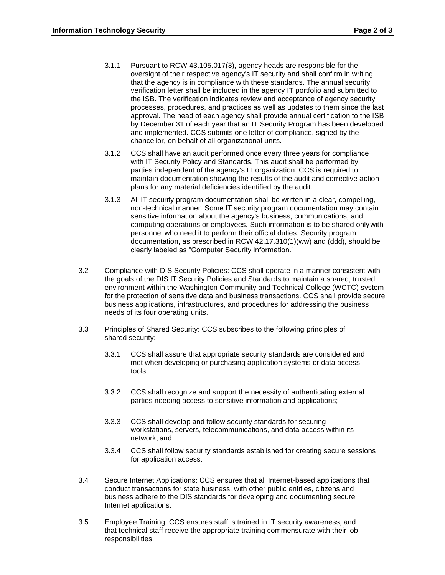- 3.1.1 Pursuant to RCW 43.105.017(3), agency heads are responsible for the oversight of their respective agency's IT security and shall confirm in writing that the agency is in compliance with these standards. The annual security verification letter shall be included in the agency IT portfolio and submitted to the ISB. The verification indicates review and acceptance of agency security processes, procedures, and practices as well as updates to them since the last approval. The head of each agency shall provide annual certification to the ISB by December 31 of each year that an IT Security Program has been developed and implemented. CCS submits one letter of compliance, signed by the chancellor, on behalf of all organizational units.
- 3.1.2 CCS shall have an audit performed once every three years for compliance with IT Security Policy and Standards. This audit shall be performed by parties independent of the agency's IT organization. CCS is required to maintain documentation showing the results of the audit and corrective action plans for any material deficiencies identified by the audit.
- 3.1.3 All IT security program documentation shall be written in a clear, compelling, non-technical manner. Some IT security program documentation may contain sensitive information about the agency's business, communications, and computing operations or employees. Such information is to be shared onlywith personnel who need it to perform their official duties. Security program documentation, as prescribed in RCW 42.17.310(1)(ww) and (ddd), should be clearly labeled as "Computer Security Information."
- 3.2 Compliance with DIS Security Policies: CCS shall operate in a manner consistent with the goals of the DIS IT Security Policies and Standards to maintain a shared, trusted environment within the Washington Community and Technical College (WCTC) system for the protection of sensitive data and business transactions. CCS shall provide secure business applications, infrastructures, and procedures for addressing the business needs of its four operating units.
- 3.3 Principles of Shared Security: CCS subscribes to the following principles of shared security:
	- 3.3.1 CCS shall assure that appropriate security standards are considered and met when developing or purchasing application systems or data access tools;
	- 3.3.2 CCS shall recognize and support the necessity of authenticating external parties needing access to sensitive information and applications;
	- 3.3.3 CCS shall develop and follow security standards for securing workstations, servers, telecommunications, and data access within its network; and
	- 3.3.4 CCS shall follow security standards established for creating secure sessions for application access.
- 3.4 Secure Internet Applications: CCS ensures that all Internet-based applications that conduct transactions for state business, with other public entities, citizens and business adhere to the DIS standards for developing and documenting secure Internet applications.
- 3.5 Employee Training: CCS ensures staff is trained in IT security awareness, and that technical staff receive the appropriate training commensurate with their job responsibilities.